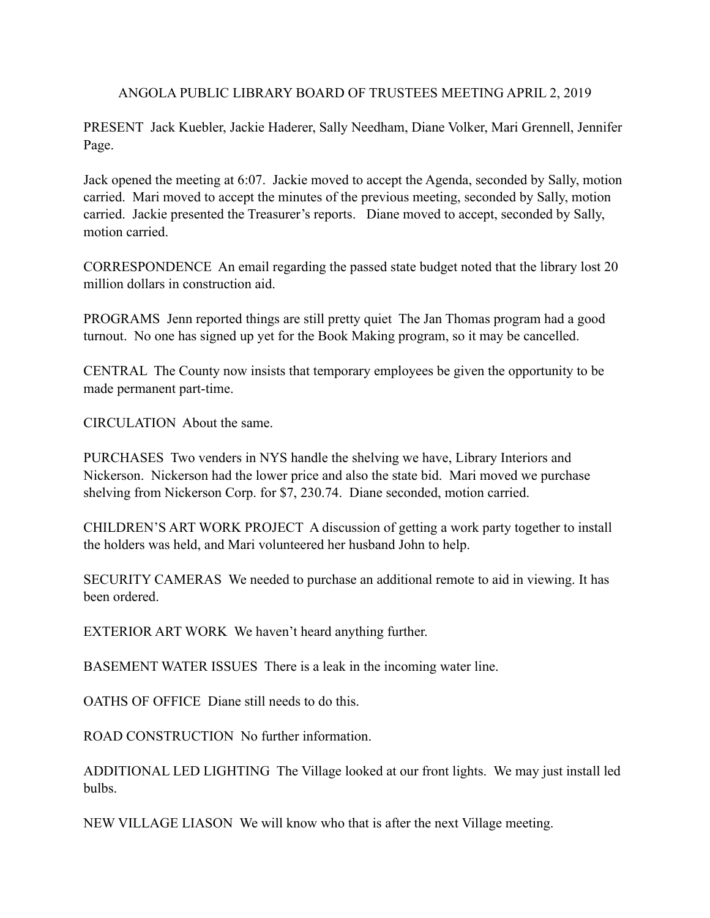ANGOLA PUBLIC LIBRARY BOARD OF TRUSTEES MEETING APRIL 2, 2019

PRESENT Jack Kuebler, Jackie Haderer, Sally Needham, Diane Volker, Mari Grennell, Jennifer Page.

Jack opened the meeting at 6:07. Jackie moved to accept the Agenda, seconded by Sally, motion carried. Mari moved to accept the minutes of the previous meeting, seconded by Sally, motion carried. Jackie presented the Treasurer's reports. Diane moved to accept, seconded by Sally, motion carried.

CORRESPONDENCE An email regarding the passed state budget noted that the library lost 20 million dollars in construction aid.

PROGRAMS Jenn reported things are still pretty quiet The Jan Thomas program had a good turnout. No one has signed up yet for the Book Making program, so it may be cancelled.

CENTRAL The County now insists that temporary employees be given the opportunity to be made permanent part-time.

CIRCULATION About the same.

PURCHASES Two venders in NYS handle the shelving we have, Library Interiors and Nickerson. Nickerson had the lower price and also the state bid. Mari moved we purchase shelving from Nickerson Corp. for \$7, 230.74. Diane seconded, motion carried.

CHILDREN'S ART WORK PROJECT A discussion of getting a work party together to install the holders was held, and Mari volunteered her husband John to help.

SECURITY CAMERAS We needed to purchase an additional remote to aid in viewing. It has been ordered.

EXTERIOR ART WORK We haven't heard anything further.

BASEMENT WATER ISSUES There is a leak in the incoming water line.

OATHS OF OFFICE Diane still needs to do this.

ROAD CONSTRUCTION No further information.

ADDITIONAL LED LIGHTING The Village looked at our front lights. We may just install led bulbs.

NEW VILLAGE LIASON We will know who that is after the next Village meeting.